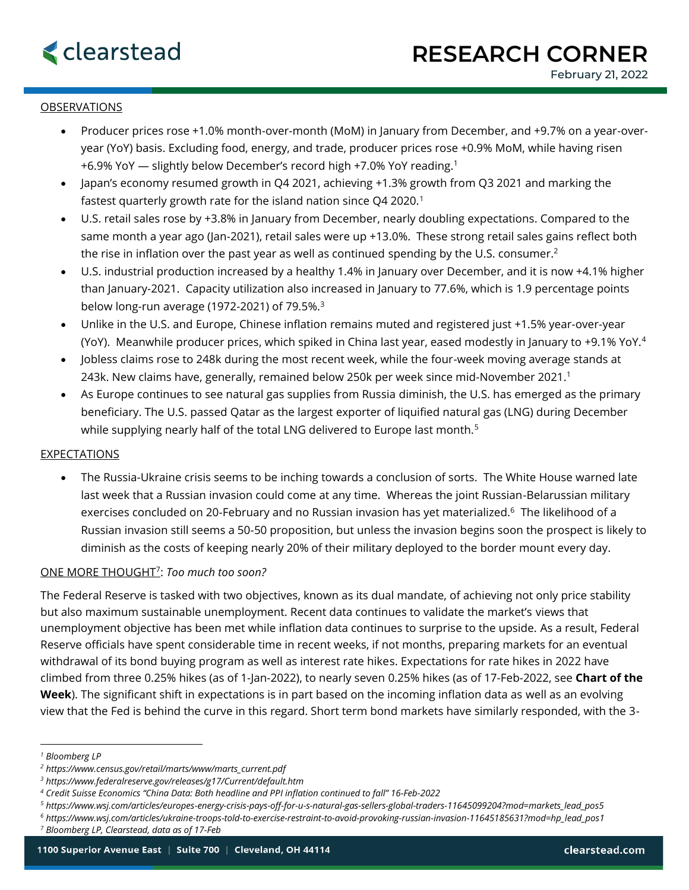### **OBSERVATIONS**

- Producer prices rose +1.0% month-over-month (MoM) in January from December, and +9.7% on a year-overyear (YoY) basis. Excluding food, energy, and trade, producer prices rose +0.9% MoM, while having risen +6.9% YoY — slightly below December's record high +7.0% YoY reading.<sup>1</sup>
- Japan's economy resumed growth in Q4 2021, achieving +1.3% growth from Q3 2021 and marking the fastest quarterly growth rate for the island nation since Q4 2020.<sup>1</sup>
- U.S. retail sales rose by +3.8% in January from December, nearly doubling expectations. Compared to the same month a year ago (Jan-2021), retail sales were up +13.0%. These strong retail sales gains reflect both the rise in inflation over the past year as well as continued spending by the U.S. consumer.<sup>2</sup>
- U.S. industrial production increased by a healthy 1.4% in January over December, and it is now +4.1% higher than January-2021. Capacity utilization also increased in January to 77.6%, which is 1.9 percentage points below long-run average (1972-2021) of 79.5%.<sup>3</sup>
- Unlike in the U.S. and Europe, Chinese inflation remains muted and registered just +1.5% year-over-year (YoY). Meanwhile producer prices, which spiked in China last year, eased modestly in January to +9.1% YoY.<sup>4</sup>
- Jobless claims rose to 248k during the most recent week, while the four-week moving average stands at 243k. New claims have, generally, remained below 250k per week since mid-November 2021.<sup>1</sup>
- As Europe continues to see natural gas supplies from Russia diminish, the U.S. has emerged as the primary beneficiary. The U.S. passed Qatar as the largest exporter of liquified natural gas (LNG) during December while supplying nearly half of the total LNG delivered to Europe last month.<sup>5</sup>

# EXPECTATIONS

• The Russia-Ukraine crisis seems to be inching towards a conclusion of sorts. The White House warned late last week that a Russian invasion could come at any time. Whereas the joint Russian-Belarussian military exercises concluded on 20-February and no Russian invasion has yet materialized.<sup>6</sup> The likelihood of a Russian invasion still seems a 50-50 proposition, but unless the invasion begins soon the prospect is likely to diminish as the costs of keeping nearly 20% of their military deployed to the border mount every day.

# ONE MORE THOUGHT<sup>7</sup> : *Too much too soon?*

The Federal Reserve is tasked with two objectives, known as its dual mandate, of achieving not only price stability but also maximum sustainable unemployment. Recent data continues to validate the market's views that unemployment objective has been met while inflation data continues to surprise to the upside. As a result, Federal Reserve officials have spent considerable time in recent weeks, if not months, preparing markets for an eventual withdrawal of its bond buying program as well as interest rate hikes. Expectations for rate hikes in 2022 have climbed from three 0.25% hikes (as of 1-Jan-2022), to nearly seven 0.25% hikes (as of 17-Feb-2022, see **Chart of the Week**). The significant shift in expectations is in part based on the incoming inflation data as well as an evolving view that the Fed is behind the curve in this regard. Short term bond markets have similarly responded, with the 3-

*<sup>1</sup> Bloomberg LP*

*<sup>2</sup> https://www.census.gov/retail/marts/www/marts\_current.pdf*

*<sup>3</sup> https://www.federalreserve.gov/releases/g17/Current/default.htm*

*<sup>4</sup> Credit Suisse Economics "China Data: Both headline and PPI inflation continued to fall" 16-Feb-2022*

*<sup>5</sup> https://www.wsj.com/articles/europes-energy-crisis-pays-off-for-u-s-natural-gas-sellers-global-traders-11645099204?mod=markets\_lead\_pos5*

*<sup>6</sup> https://www.wsj.com/articles/ukraine-troops-told-to-exercise-restraint-to-avoid-provoking-russian-invasion-11645185631?mod=hp\_lead\_pos1*

*<sup>7</sup> Bloomberg LP, Clearstead, data as of 17-Feb*